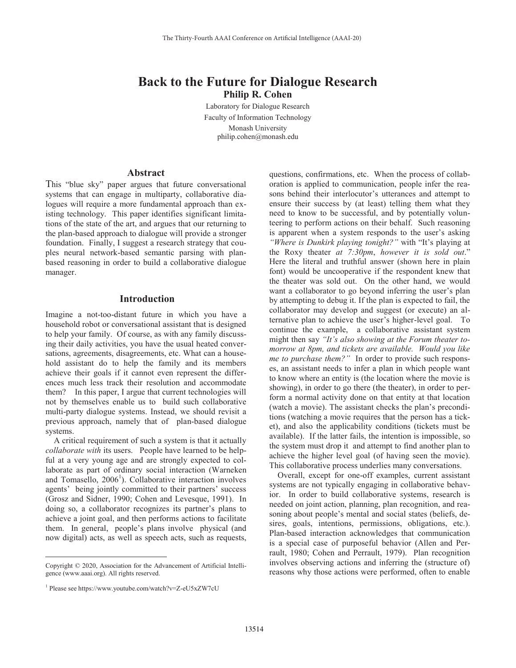# **Back to the Future for Dialogue Research Philip R. Cohen**

Laboratory for Dialogue Research Faculty of Information Technology Monash University philip.cohen@monash.edu

### **Abstract**

This "blue sky" paper argues that future conversational systems that can engage in multiparty, collaborative dialogues will require a more fundamental approach than existing technology. This paper identifies significant limitations of the state of the art, and argues that our returning to the plan-based approach to dialogue will provide a stronger foundation. Finally, I suggest a research strategy that couples neural network-based semantic parsing with planbased reasoning in order to build a collaborative dialogue manager.

#### **Introduction**

Imagine a not-too-distant future in which you have a household robot or conversational assistant that is designed to help your family. Of course, as with any family discussing their daily activities, you have the usual heated conversations, agreements, disagreements, etc. What can a household assistant do to help the family and its members achieve their goals if it cannot even represent the differences much less track their resolution and accommodate them? In this paper, I argue that current technologies will not by themselves enable us to build such collaborative multi-party dialogue systems. Instead, we should revisit a previous approach, namely that of plan-based dialogue systems.

A critical requirement of such a system is that it actually *collaborate with* its users. People have learned to be helpful at a very young age and are strongly expected to collaborate as part of ordinary social interaction (Warneken and Tomasello, 2006<sup>1</sup>). Collaborative interaction involves agents' being jointly committed to their partners' success (Grosz and Sidner, 1990; Cohen and Levesque, 1991). In doing so, a collaborator recognizes its partner's plans to achieve a joint goal, and then performs actions to facilitate them. In general, people's plans involve physical (and now digital) acts, as well as speech acts, such as requests,

 $\overline{a}$ 

questions, confirmations, etc. When the process of collaboration is applied to communication, people infer the reasons behind their interlocutor's utterances and attempt to ensure their success by (at least) telling them what they need to know to be successful, and by potentially volunteering to perform actions on their behalf. Such reasoning is apparent when a system responds to the user's asking *"Where is Dunkirk playing tonight?"* with "It's playing at the Roxy theater *at 7:30pm*, *however it is sold out*." Here the literal and truthful answer (shown here in plain font) would be uncooperative if the respondent knew that the theater was sold out. On the other hand, we would want a collaborator to go beyond inferring the user's plan by attempting to debug it. If the plan is expected to fail, the collaborator may develop and suggest (or execute) an alternative plan to achieve the user's higher-level goal. To continue the example, a collaborative assistant system might then say *"It's also showing at the Forum theater tomorrow at 8pm, and tickets are available. Would you like me to purchase them?"* In order to provide such responses, an assistant needs to infer a plan in which people want to know where an entity is (the location where the movie is showing), in order to go there (the theater), in order to perform a normal activity done on that entity at that location (watch a movie). The assistant checks the plan's preconditions (watching a movie requires that the person has a ticket), and also the applicability conditions (tickets must be available). If the latter fails, the intention is impossible, so the system must drop it and attempt to find another plan to achieve the higher level goal (of having seen the movie). This collaborative process underlies many conversations.

Overall, except for one-off examples, current assistant systems are not typically engaging in collaborative behavior. In order to build collaborative systems, research is needed on joint action, planning, plan recognition, and reasoning about people's mental and social states (beliefs, desires, goals, intentions, permissions, obligations, etc.). Plan-based interaction acknowledges that communication is a special case of purposeful behavior (Allen and Perrault, 1980; Cohen and Perrault, 1979). Plan recognition involves observing actions and inferring the (structure of) reasons why those actions were performed, often to enable

Copyright © 2020, Association for the Advancement of Artificial Intelligence (www.aaai.org). All rights reserved.

<sup>1</sup> Please see https://www.youtube.com/watch?v=Z-eU5xZW7cU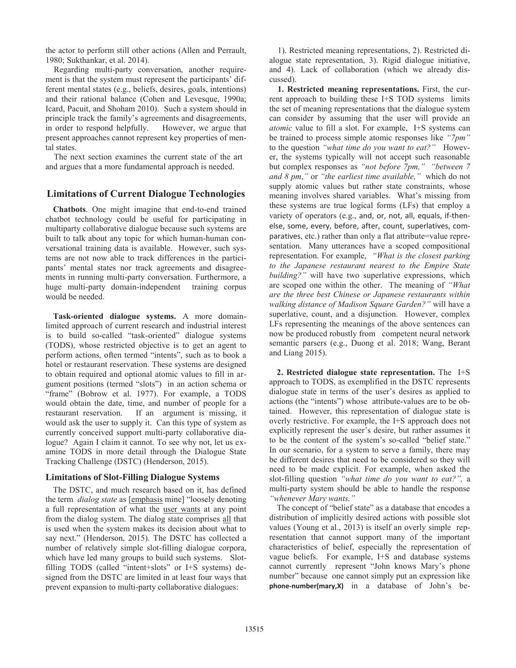the actor to perform still other actions (Allen and Perrault, 1980; Sukthankar, et al. 2014).

Regarding multi-party conversation, another requirement is that the system must represent the participants' different mental states (e.g., beliefs, desires, goals, intentions) and their rational balance (Cohen and Levesque, 1990a; Icard, Pacuit, and Shoham 2010). Such a system should in principle track the family's agreements and disagreements, in order to respond helpfully. However, we argue that present approaches cannot represent key properties of mental states.

The next section examines the current state of the art and argues that a more fundamental approach is needed.

# **Limitations of Current Dialogue Technologies**

**Chatbots**. One might imagine that end-to-end trained chatbot technology could be useful for participating in multiparty collaborative dialogue because such systems are built to talk about any topic for which human-human conversational training data is available. However, such systems are not now able to track differences in the participants' mental states nor track agreements and disagreements in running multi-party conversation. Furthermore, a huge multi-party domain-independent training corpus would be needed.

**Task-oriented dialogue systems.** A more domainlimited approach of current research and industrial interest is to build so-called "task-oriented" dialogue systems (TODS), whose restricted objective is to get an agent to perform actions, often termed "intents", such as to book a hotel or restaurant reservation. These systems are designed to obtain required and optional atomic values to fill in argument positions (termed "slots") in an action schema or "frame" (Bobrow et al. 1977). For example, a TODS would obtain the date, time, and number of people for a restaurant reservation. If an argument is missing, it would ask the user to supply it. Can this type of system as currently conceived support multi-party collaborative dialogue? Again I claim it cannot. To see why not, let us examine TODS in more detail through the Dialogue State Tracking Challenge (DSTC) (Henderson, 2015).

### **Limitations of Slot-Filling Dialogue Systems**

The DSTC, and much research based on it, has defined the term *dialog state* as [emphasis mine] "loosely denoting a full representation of what the user wants at any point from the dialog system. The dialog state comprises all that is used when the system makes its decision about what to say next." (Henderson, 2015). The DSTC has collected a number of relatively simple slot-filling dialogue corpora, which have led many groups to build such systems. Slotfilling TODS (called "intent+slots" or I+S systems) designed from the DSTC are limited in at least four ways that prevent expansion to multi-party collaborative dialogues:

1). Restricted meaning representations, 2). Restricted dialogue state representation, 3). Rigid dialogue initiative, and 4). Lack of collaboration (which we already discussed).

**1. Restricted meaning representations.** First, the current approach to building these I+S TOD systems limits the set of meaning representations that the dialogue system can consider by assuming that the user will provide an *atomic* value to fill a slot. For example, I+S systems can be trained to process simple atomic responses like *"7pm"* to the question *"what time do you want to eat?"* However, the systems typically will not accept such reasonable but complex responses as *"not before 7pm," "between 7 and 8 pm*,*"* or *"the earliest time available,"* which do not supply atomic values but rather state constraints, whose meaning involves shared variables. What's missing from these systems are true logical forms (LFs) that employ a variety of operators (e.g., and, or, not, all, equals, if-thenelse, some, every, before, after, count, superlatives, comparatives, etc.) rather than only a flat attribute=value representation. Many utterances have a scoped compositional representation. For example, *"What is the closest parking to the Japanese restaurant nearest to the Empire State building?"* will have two superlative expressions, which are scoped one within the other. The meaning of *"What are the three best Chinese or Japanese restaurants within walking distance of Madison Square Garden?"* will have a superlative, count, and a disjunction. However, complex LFs representing the meanings of the above sentences can now be produced robustly from competent neural network semantic parsers (e.g., Duong et al. 2018; Wang, Berant and Liang 2015).

**2. Restricted dialogue state representation.** The I+S approach to TODS, as exemplified in the DSTC represents dialogue state in terms of the user's desires as applied to actions (the "intents") whose attribute-values are to be obtained. However, this representation of dialogue state is overly restrictive. For example, the I+S approach does not explicitly represent the user's desire, but rather assumes it to be the content of the system's so-called "belief state." In our scenario, for a system to serve a family, there may be different desires that need to be considered so they will need to be made explicit. For example, when asked the slot-filling question *"what time do you want to eat?",* a multi-party system should be able to handle the response *"whenever Mary wants."*

The concept of "belief state" as a database that encodes a distribution of implicitly desired actions with possible slot values (Young et al., 2013) is itself an overly simple representation that cannot support many of the important characteristics of belief, especially the representation of vague beliefs. For example, I+S and database systems cannot currently represent "John knows Mary's phone number" because one cannot simply put an expression like **phone-number(mary,X)** in a database of John's be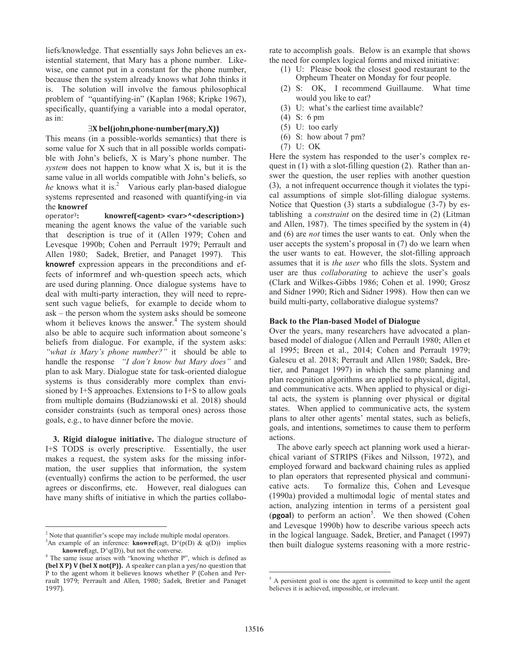liefs/knowledge. That essentially says John believes an existential statement, that Mary has a phone number. Likewise, one cannot put in a constant for the phone number, because then the system already knows what John thinks it is. The solution will involve the famous philosophical problem of "quantifying-in" (Kaplan 1968; Kripke 1967), specifically, quantifying a variable into a modal operator, as in:

#### $\exists X \text{ bel}(\text{john}, \text{phone-number}(\text{mary}, X))$

This means (in a possible-worlds semantics) that there is some value for X such that in all possible worlds compatible with John's beliefs, X is Mary's phone number. The *system* does not happen to know what X is, but it is the same value in all worlds compatible with John's beliefs, so he knows what it is.<sup>2</sup> Various early plan-based dialogue systems represented and reasoned with quantifying-in via the **knowref**

͵**: knowref(<agent> <var>^<description>)**  meaning the agent knows the value of the variable such that description is true of it (Allen 1979; Cohen and Levesque 1990b; Cohen and Perrault 1979; Perrault and Allen 1980; Sadek, Bretier, and Panaget 1997). This **knowref** expression appears in the preconditions and effects of informref and wh-question speech acts, which are used during planning. Once dialogue systems have to deal with multi-party interaction, they will need to represent such vague beliefs, for example to decide whom to ask – the person whom the system asks should be someone whom it believes knows the answer.<sup>4</sup> The system should also be able to acquire such information about someone's beliefs from dialogue. For example, if the system asks: *"what is Mary's phone number?"* it should be able to handle the response *"I don't know but Mary does"* and plan to ask Mary. Dialogue state for task-oriented dialogue systems is thus considerably more complex than envisioned by I+S approaches. Extensions to I+S to allow goals from multiple domains (Budzianowski et al. 2018) should consider constraints (such as temporal ones) across those goals, e.g., to have dinner before the movie.

**3. Rigid dialogue initiative.** The dialogue structure of I+S TODS is overly prescriptive. Essentially, the user makes a request, the system asks for the missing information, the user supplies that information, the system (eventually) confirms the action to be performed, the user agrees or disconfirms, etc. However, real dialogues can have many shifts of initiative in which the parties collabo-

 $\overline{a}$ 

rate to accomplish goals. Below is an example that shows the need for complex logical forms and mixed initiative:

- (1) U: Please book the closest good restaurant to the Orpheum Theater on Monday for four people.
- (2) S: OK, I recommend Guillaume. What time would you like to eat?
- (3) U: what's the earliest time available?
- (4) S: 6 pm
- (5) U: too early
- (6) S: how about 7 pm?
- (7) U: OK

Here the system has responded to the user's complex request in (1) with a slot-filling question (2). Rather than answer the question, the user replies with another question (3), a not infrequent occurrence though it violates the typical assumptions of simple slot-filling dialogue systems. Notice that Question (3) starts a subdialogue (3-7) by establishing a *constraint* on the desired time in (2) (Litman and Allen, 1987). The times specified by the system in (4) and (6) are *not* times the user wants to eat. Only when the user accepts the system's proposal in (7) do we learn when the user wants to eat. However, the slot-filling approach assumes that it is *the user* who fills the slots. System and user are thus *collaborating* to achieve the user's goals (Clark and Wilkes-Gibbs 1986; Cohen et al. 1990; Grosz and Sidner 1990; Rich and Sidner 1998). How then can we build multi-party, collaborative dialogue systems?

#### **Back to the Plan-based Model of Dialogue**

Over the years, many researchers have advocated a planbased model of dialogue (Allen and Perrault 1980; Allen et al 1995; Breen et al., 2014; Cohen and Perrault 1979; Galescu et al. 2018; Perrault and Allen 1980; Sadek, Bretier, and Panaget 1997) in which the same planning and plan recognition algorithms are applied to physical, digital, and communicative acts. When applied to physical or digital acts, the system is planning over physical or digital states. When applied to communicative acts, the system plans to alter other agents' mental states, such as beliefs, goals, and intentions, sometimes to cause them to perform actions.

The above early speech act planning work used a hierarchical variant of STRIPS (Fikes and Nilsson, 1972), and employed forward and backward chaining rules as applied to plan operators that represented physical and communicative acts. To formalize this, Cohen and Levesque (1990a) provided a multimodal logic of mental states and action, analyzing intention in terms of a persistent goal (**pgoal**) to perform an action<sup>5</sup>. We then showed (Cohen and Levesque 1990b) how to describe various speech acts in the logical language. Sadek, Bretier, and Panaget (1997) then built dialogue systems reasoning with a more restric-

 $\overline{a}$ 

 $2$  Note that quantifier's scope may include multiple modal operators.

<sup>&</sup>lt;sup>3</sup>An example of an inference: **knowref**(agt,  $D'(p(D) \& q(D))$  implies **knowref**(agt,  $D^{\wedge}q(D)$ ), but not the converse.

<sup>&</sup>lt;sup>4</sup> The same issue arises with "knowing whether P", which is defined as **(bel X P) V (bel X not(P)).** A speaker can plan a yes/no question that P to the agent whom it believes knows whether P (Cohen and Perrault 1979; Perrault and Allen, 1980; Sadek, Bretier and Panaget 1997).

<sup>&</sup>lt;sup>5</sup> A persistent goal is one the agent is committed to keep until the agent believes it is achieved, impossible, or irrelevant.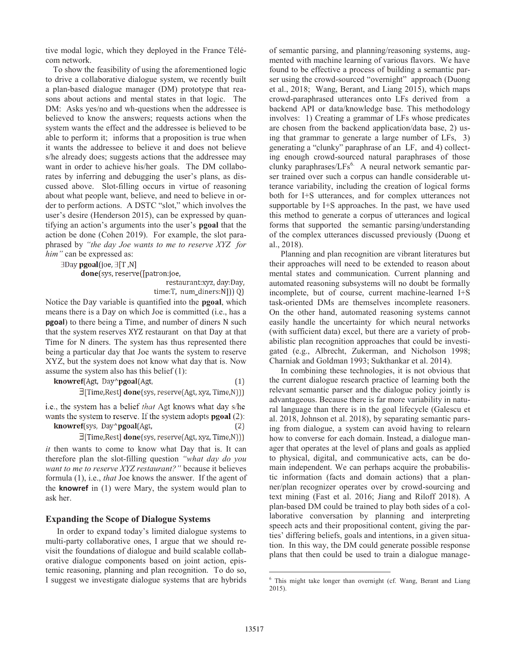tive modal logic, which they deployed in the France Télécom network.

To show the feasibility of using the aforementioned logic to drive a collaborative dialogue system, we recently built a plan-based dialogue manager (DM) prototype that reasons about actions and mental states in that logic. The DM: Asks yes/no and wh-questions when the addressee is believed to know the answers; requests actions when the system wants the effect and the addressee is believed to be able to perform it; informs that a proposition is true when it wants the addressee to believe it and does not believe s/he already does; suggests actions that the addressee may want in order to achieve his/her goals. The DM collaborates by inferring and debugging the user's plans, as discussed above. Slot-filling occurs in virtue of reasoning about what people want, believe, and need to believe in order to perform actions. A DSTC "slot," which involves the user's desire (Henderson 2015), can be expressed by quantifying an action's arguments into the user's **pgoal** that the action be done (Cohen 2019). For example, the slot paraphrased by *"the day Joe wants to me to reserve XYZ for him"* can be expressed as:

∃Day pgoal(joe, ∃[T,N]

done(sys, reserve([patron:joe,

restaurant:xyz, day:Day, time:T, num\_diners:N])) Q)

Notice the Day variable is quantified into the **pgoal**, which means there is a Day on which Joe is committed (i.e., has a **pgoal**) to there being a Time, and number of diners N such that the system reserves XYZ restaurant on that Day at that Time for N diners. The system has thus represented there being a particular day that Joe wants the system to reserve XYZ, but the system does not know what day that is. Now assume the system also has this belief (1):

| knowref(Agt, Day^pgoal(Agt, | (1) |
|-----------------------------|-----|
|-----------------------------|-----|

 $\exists$ [Time, Rest] **done**(sys, reserve(Agt, xyz, Time, N)))

i.e., the system has a belief *that* Agt knows what day s/he wants the system to reserve. If the system adopts **pgoal** (2): knowref(sys, Day^pgoal(Agt,  $(2)$ 

 $\exists$ [Time, Rest] **done**(sys, reserve(Agt, xyz, Time, N)))

*it* then wants to come to know what Day that is. It can therefore plan the slot-filling question *"what day do you want to me to reserve XYZ restaurant?"* because it believes formula (1), i.e., *that* Joe knows the answer. If the agent of the **knowref** in (1) were Mary, the system would plan to ask her.

# **Expanding the Scope of Dialogue Systems**

In order to expand today's limited dialogue systems to multi-party collaborative ones, I argue that we should revisit the foundations of dialogue and build scalable collaborative dialogue components based on joint action, epistemic reasoning, planning and plan recognition. To do so, I suggest we investigate dialogue systems that are hybrids of semantic parsing, and planning/reasoning systems, augmented with machine learning of various flavors. We have found to be effective a process of building a semantic parser using the crowd-sourced "overnight" approach (Duong et al., 2018; Wang, Berant, and Liang 2015), which maps crowd-paraphrased utterances onto LFs derived from a backend API or data/knowledge base. This methodology involves: 1) Creating a grammar of LFs whose predicates are chosen from the backend application/data base, 2) using that grammar to generate a large number of LFs, 3) generating a "clunky" paraphrase of an LF, and 4) collecting enough crowd-sourced natural paraphrases of those clunky paraphrases/ $LFs<sup>6</sup>$ . A neural network semantic parser trained over such a corpus can handle considerable utterance variability, including the creation of logical forms both for I+S utterances, and for complex utterances not supportable by I+S approaches. In the past, we have used this method to generate a corpus of utterances and logical forms that supported the semantic parsing/understanding of the complex utterances discussed previously (Duong et al., 2018).

Planning and plan recognition are vibrant literatures but their approaches will need to be extended to reason about mental states and communication. Current planning and automated reasoning subsystems will no doubt be formally incomplete, but of course, current machine-learned I+S task-oriented DMs are themselves incomplete reasoners. On the other hand, automated reasoning systems cannot easily handle the uncertainty for which neural networks (with sufficient data) excel, but there are a variety of probabilistic plan recognition approaches that could be investigated (e.g., Albrecht, Zukerman, and Nicholson 1998; Charniak and Goldman 1993; Sukthankar et al. 2014).

In combining these technologies, it is not obvious that the current dialogue research practice of learning both the relevant semantic parser and the dialogue policy jointly is advantageous. Because there is far more variability in natural language than there is in the goal lifecycle (Galescu et al. 2018, Johnson et al. 2018), by separating semantic parsing from dialogue, a system can avoid having to relearn how to converse for each domain. Instead, a dialogue manager that operates at the level of plans and goals as applied to physical, digital, and communicative acts, can be domain independent. We can perhaps acquire the probabilistic information (facts and domain actions) that a planner/plan recognizer operates over by crowd-sourcing and text mining (Fast et al. 2016; Jiang and Riloff 2018). A plan-based DM could be trained to play both sides of a collaborative conversation by planning and interpreting speech acts and their propositional content, giving the parties' differing beliefs, goals and intentions, in a given situation. In this way, the DM could generate possible response plans that then could be used to train a dialogue manage-

 $\overline{a}$ 

<sup>&</sup>lt;sup>6</sup> This might take longer than overnight (cf. Wang, Berant and Liang 2015).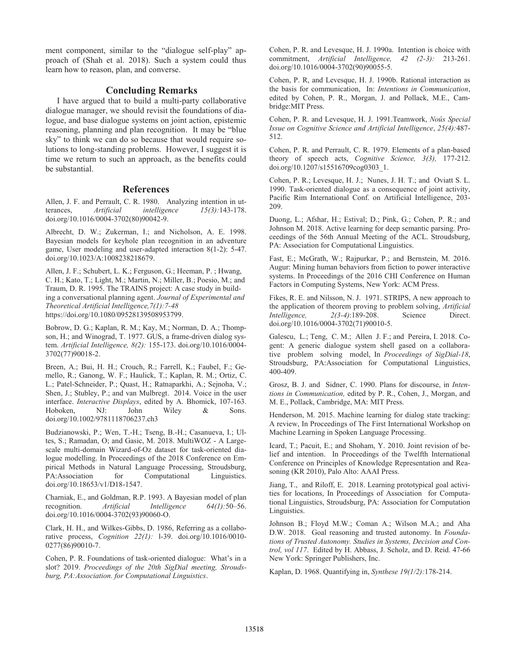ment component, similar to the "dialogue self-play" approach of (Shah et al. 2018). Such a system could thus learn how to reason, plan, and converse.

# **Concluding Remarks**

I have argued that to build a multi-party collaborative dialogue manager, we should revisit the foundations of dialogue, and base dialogue systems on joint action, epistemic reasoning, planning and plan recognition. It may be "blue sky" to think we can do so because that would require solutions to long-standing problems. However, I suggest it is time we return to such an approach, as the benefits could be substantial.

#### **References**

Allen, J. F. and Perrault, C. R. 1980. Analyzing intention in utterances, *Artificial intelligence 15(3):*143-178. doi.org/10.1016/0004-3702(80)90042-9.

Albrecht, D. W.; Zukerman, I.; and Nicholson, A. E. 1998. Bayesian models for keyhole plan recognition in an adventure game, User modeling and user-adapted interaction 8(1-2): 5-47. doi.org/10.1023/A:1008238218679.

Allen, J. F.; Schubert, L. K.; Ferguson, G.; Heeman, P. ; Hwang, C. H.; Kato, T.; Light, M.; Martin, N.; Miller, B.; Poesio, M.; and Traum, D. R. 1995. The TRAINS project: A case study in building a conversational planning agent. *Journal of Experimental and Theoretical Artificial Intelligence,7(1):7-48* https://doi.org/10.1080/09528139508953799.

Bobrow, D. G.; Kaplan, R. M.; Kay, M.; Norman, D. A.; Thompson, H.; and Winograd, T. 1977. GUS, a frame-driven dialog system. *Artificial Intelligence, 8(2):* 155-173. doi.org/10.1016/0004- 3702(77)90018-2.

Breen, A.; Bui, H. H.; Crouch, R.; Farrell, K.; Faubel, F.; Gemello, R.; Ganong, W. F.; Haulick, T.; Kaplan, R. M.; Ortiz, C. L.; Patel-Schneider, P.; Quast, H.; Ratnaparkhi, A.; Sejnoha, V.; Shen, J.; Stubley, P.; and van Mulbregt. 2014. Voice in the user interface. *Interactive Displays*, edited by A. Bhomick, 107-163. Hoboken, NJ: John Wiley & Sons. doi.org/10.1002/9781118706237.ch3

Budzianowski, P.; Wen, T.-H.; Tseng, B.-H.; Casanueva, I.; Ultes, S.; Ramadan, O; and Gasic, M. 2018. MultiWOZ - A Largescale multi-domain Wizard-of-Oz dataset for task-oriented dialogue modelling. In Proceedings of the 2018 Conference on Empirical Methods in Natural Language Processing, Stroudsburg, PA:Association for Computational Linguistics. doi.org/10.18653/v1/D18-1547.

Charniak, E., and Goldman, R.P. 1993. A Bayesian model of plan recognition. *Artificial Intelligence 64(1):*50–56. doi.org/10.1016/0004-3702(93)90060-O.

Clark, H. H., and Wilkes-Gibbs, D. 1986, Referring as a collaborative process, *Cognition 22(1):* l-39. doi.org/10.1016/0010- 0277(86)90010-7.

Cohen, P. R. Foundations of task-oriented dialogue: What's in a slot? 2019. *Proceedings of the 20th SigDial meeting, Stroudsburg, PA:Association. for Computational Linguistics*.

Cohen, P. R. and Levesque, H. J. 1990a. Intention is choice with commitment, *Artificial Intelligence, 42 (2-3):* 213-261. doi.org/10.1016/0004-3702(90)90055-5.

Cohen, P. R, and Levesque, H. J. 1990b. Rational interaction as the basis for communication, In: *Intentions in Communication*, edited by Cohen, P. R., Morgan, J. and Pollack, M.E., Cambridge:MIT Press.

Cohen, P. R. and Levesque, H. J. 1991.Teamwork, *Noûs Special Issue on Cognitive Science and Artificial Intelligence*, *25(4):*487- 512.

Cohen, P. R. and Perrault, C. R. 1979. Elements of a plan-based theory of speech acts, *Cognitive Science, 3(3),* 177-212. doi.org/10.1207/s15516709cog0303\_1.

Cohen, P. R.; Levesque, H. J.; Nunes, J. H. T.; and Oviatt S. L. 1990. Task-oriented dialogue as a consequence of joint activity, Pacific Rim International Conf. on Artificial Intelligence, 203- 209.

Duong, L.; Afshar, H.; Estival; D.; Pink, G.; Cohen, P. R.; and Johnson M. 2018. Active learning for deep semantic parsing. Proceedings of the 56th Annual Meeting of the ACL. Stroudsburg, PA: Association for Computational Linguistics.

Fast, E.; McGrath, W.; Rajpurkar, P.; and Bernstein, M. 2016. Augur: Mining human behaviors from fiction to power interactive systems. In Proceedings of the 2016 CHI Conference on Human Factors in Computing Systems, New York: ACM Press.

Fikes, R. E. and Nilsson, N. J. 1971. STRIPS, A new approach to the application of theorem proving to problem solving, *Artificial Intelligence, 2(3-4)*:189-208. Science Direct. doi.org/10.1016/0004-3702(71)90010-5.

Galescu, L.; Teng, C. M.; Allen J. F.; and Pereira, I. 2018. Cogent: A generic dialogue system shell gased on a collaborative problem solving model, In *Proceedings of SigDial-18*, Stroudsburg, PA:Association for Computational Linguistics, 400-409.

Grosz, B. J. and Sidner, C. 1990. Plans for discourse, in *Intentions in Communication,* edited by P. R., Cohen, J., Morgan, and M. E., Pollack, Cambridge, MA: MIT Press.

Henderson, M. 2015. Machine learning for dialog state tracking: A review, In Proceedings of The First International Workshop on Machine Learning in Spoken Language Processing.

Icard, T.; Pacuit, E.; and Shoham, Y. 2010. Joint revision of belief and intention. In Proceedings of the Twelfth International Conference on Principles of Knowledge Representation and Reasoning (KR 2010), Palo Alto: AAAI Press.

Jiang, T., and Riloff, E. 2018. Learning prototypical goal activities for locations, In Proceedings of Association for Computational Linguistics, Stroudsburg, PA: Association for Computation Linguistics.

Johnson B.; Floyd M.W.; Coman A.; Wilson M.A.; and Aha D.W. 2018. Goal reasoning and trusted autonomy. In *Foundations of Trusted Autonomy. Studies in Systems, Decision and Control, vol 117*. Edited by H. Abbass, J. Scholz, and D. Reid. 47-66 New York: Springer Publishers, Inc.

Kaplan, D. 1968. Quantifying in, *Synthese 19(1/2):*178-214.